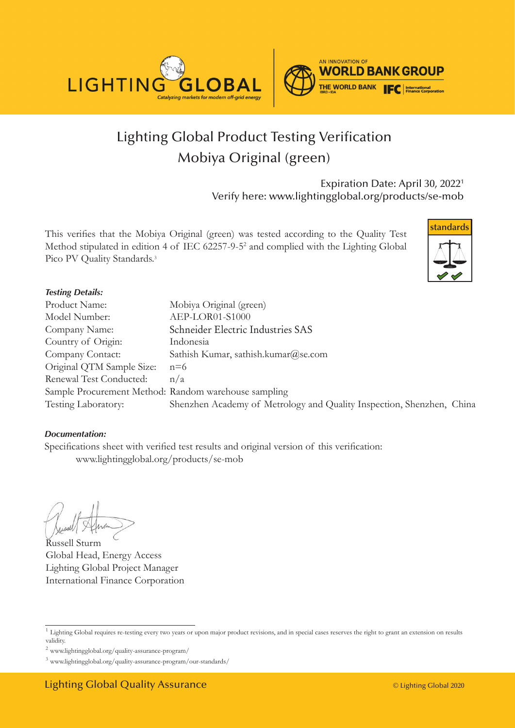



# Lighting Global Product Testing Verification Mobiya Original (green)

Expiration Date: April 30, 2022<sup>1</sup> Verify here: www.lightingglobal.org/products/se-mob

This verifies that the Mobiya Original (green) was tested according to the Quality Test Method stipulated in edition 4 of IEC 62257-9-52 and complied with the Lighting Global Pico PV Quality Standards.<sup>3</sup>



### *Testing Details:*

| Product Name:                                        | Mobiya Original (green)                                               |
|------------------------------------------------------|-----------------------------------------------------------------------|
| Model Number:                                        | AEP-LOR01-S1000                                                       |
| Company Name:                                        | Schneider Electric Industries SAS                                     |
| Country of Origin:                                   | Indonesia                                                             |
| Company Contact:                                     | Sathish Kumar, sathish.kumar@se.com                                   |
| Original QTM Sample Size:                            | $n=6$                                                                 |
| Renewal Test Conducted:                              | n/a                                                                   |
| Sample Procurement Method: Random warehouse sampling |                                                                       |
| Testing Laboratory:                                  | Shenzhen Academy of Metrology and Quality Inspection, Shenzhen, China |

### *Documentation:*

Specifications sheet with verified test results and original version of this verification: www.lightingglobal.org/products/se-mob

Russell Sturm Global Head, Energy Access Lighting Global Project Manager International Finance Corporation

<sup>&</sup>lt;sup>1</sup> Lighting Global requires re-testing every two years or upon major product revisions, and in special cases reserves the right to grant an extension on results validity.

 $^2$ www.lightingglobal.org/quality-assurance-program/  $\,$ 

<sup>3</sup> www.lightingglobal.org/quality-assurance-program/our-standards/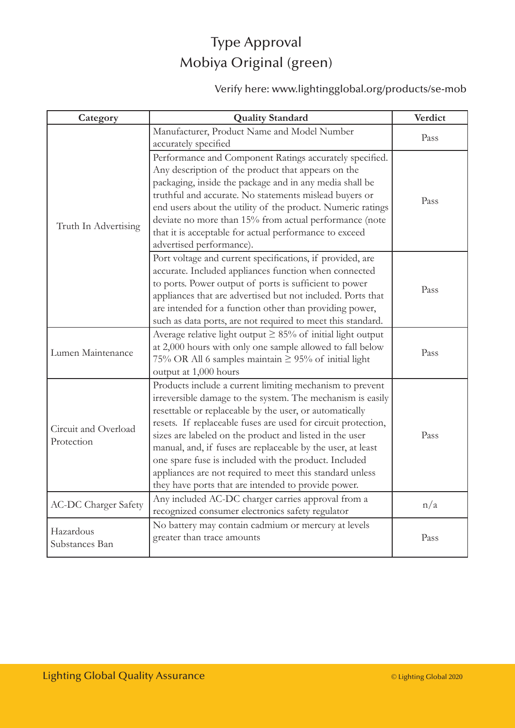## Type Approval Mobiya Original (green)

### Verify here: www.lightingglobal.org/products/se-mob

| Category                    | <b>Quality Standard</b>                                           | Verdict |
|-----------------------------|-------------------------------------------------------------------|---------|
|                             | Manufacturer, Product Name and Model Number                       | Pass    |
|                             | accurately specified                                              |         |
|                             | Performance and Component Ratings accurately specified.           |         |
|                             | Any description of the product that appears on the                |         |
|                             | packaging, inside the package and in any media shall be           |         |
|                             | truthful and accurate. No statements mislead buyers or            | Pass    |
|                             | end users about the utility of the product. Numeric ratings       |         |
| Truth In Advertising        | deviate no more than 15% from actual performance (note            |         |
|                             | that it is acceptable for actual performance to exceed            |         |
|                             | advertised performance).                                          |         |
|                             | Port voltage and current specifications, if provided, are         |         |
|                             | accurate. Included appliances function when connected             |         |
|                             | to ports. Power output of ports is sufficient to power            | Pass    |
|                             | appliances that are advertised but not included. Ports that       |         |
|                             | are intended for a function other than providing power,           |         |
|                             | such as data ports, are not required to meet this standard.       |         |
|                             | Average relative light output $\geq 85\%$ of initial light output |         |
| Lumen Maintenance           | at 2,000 hours with only one sample allowed to fall below         | Pass    |
|                             | 75% OR All 6 samples maintain $\geq$ 95% of initial light         |         |
|                             | output at 1,000 hours                                             |         |
|                             | Products include a current limiting mechanism to prevent          |         |
|                             | irreversible damage to the system. The mechanism is easily        |         |
|                             | resettable or replaceable by the user, or automatically           |         |
| Circuit and Overload        | resets. If replaceable fuses are used for circuit protection,     |         |
| Protection                  | sizes are labeled on the product and listed in the user           | Pass    |
|                             | manual, and, if fuses are replaceable by the user, at least       |         |
|                             | one spare fuse is included with the product. Included             |         |
|                             | appliances are not required to meet this standard unless          |         |
|                             | they have ports that are intended to provide power.               |         |
| <b>AC-DC Charger Safety</b> | Any included AC-DC charger carries approval from a                | n/a     |
|                             | recognized consumer electronics safety regulator                  |         |
| Hazardous<br>Substances Ban | No battery may contain cadmium or mercury at levels               |         |
|                             | greater than trace amounts                                        | Pass    |
|                             |                                                                   |         |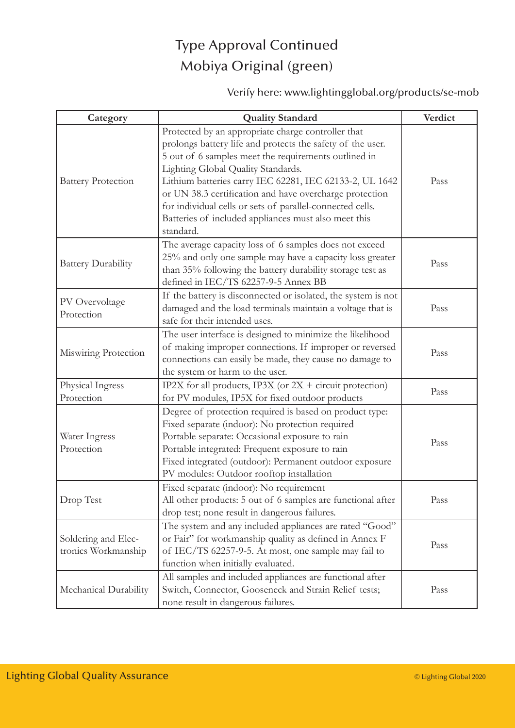## Type Approval Continued Mobiya Original (green)

Verify here: www.lightingglobal.org/products/se-mob

| Category                                   | <b>Quality Standard</b>                                                                                                                                                                                                                                                                                                                                                                                                                                                | Verdict |
|--------------------------------------------|------------------------------------------------------------------------------------------------------------------------------------------------------------------------------------------------------------------------------------------------------------------------------------------------------------------------------------------------------------------------------------------------------------------------------------------------------------------------|---------|
| <b>Battery Protection</b>                  | Protected by an appropriate charge controller that<br>prolongs battery life and protects the safety of the user.<br>5 out of 6 samples meet the requirements outlined in<br>Lighting Global Quality Standards.<br>Lithium batteries carry IEC 62281, IEC 62133-2, UL 1642<br>or UN 38.3 certification and have overcharge protection<br>for individual cells or sets of parallel-connected cells.<br>Batteries of included appliances must also meet this<br>standard. | Pass    |
| <b>Battery Durability</b>                  | The average capacity loss of 6 samples does not exceed<br>25% and only one sample may have a capacity loss greater<br>than 35% following the battery durability storage test as<br>defined in IEC/TS 62257-9-5 Annex BB                                                                                                                                                                                                                                                | Pass    |
| PV Overvoltage<br>Protection               | If the battery is disconnected or isolated, the system is not<br>damaged and the load terminals maintain a voltage that is<br>safe for their intended uses.                                                                                                                                                                                                                                                                                                            | Pass    |
| Miswiring Protection                       | The user interface is designed to minimize the likelihood<br>of making improper connections. If improper or reversed<br>connections can easily be made, they cause no damage to<br>the system or harm to the user.                                                                                                                                                                                                                                                     | Pass    |
| Physical Ingress<br>Protection             | IP2X for all products, IP3X (or $2X +$ circuit protection)<br>for PV modules, IP5X for fixed outdoor products                                                                                                                                                                                                                                                                                                                                                          | Pass    |
| Water Ingress<br>Protection                | Degree of protection required is based on product type:<br>Fixed separate (indoor): No protection required<br>Portable separate: Occasional exposure to rain<br>Portable integrated: Frequent exposure to rain<br>Fixed integrated (outdoor): Permanent outdoor exposure<br>PV modules: Outdoor rooftop installation                                                                                                                                                   | Pass    |
| Drop Test                                  | Fixed separate (indoor): No requirement<br>All other products: 5 out of 6 samples are functional after<br>drop test; none result in dangerous failures.                                                                                                                                                                                                                                                                                                                | Pass    |
| Soldering and Elec-<br>tronics Workmanship | The system and any included appliances are rated "Good"<br>or Fair" for workmanship quality as defined in Annex F<br>of IEC/TS 62257-9-5. At most, one sample may fail to<br>function when initially evaluated.                                                                                                                                                                                                                                                        | Pass    |
| Mechanical Durability                      | All samples and included appliances are functional after<br>Switch, Connector, Gooseneck and Strain Relief tests;<br>none result in dangerous failures.                                                                                                                                                                                                                                                                                                                | Pass    |